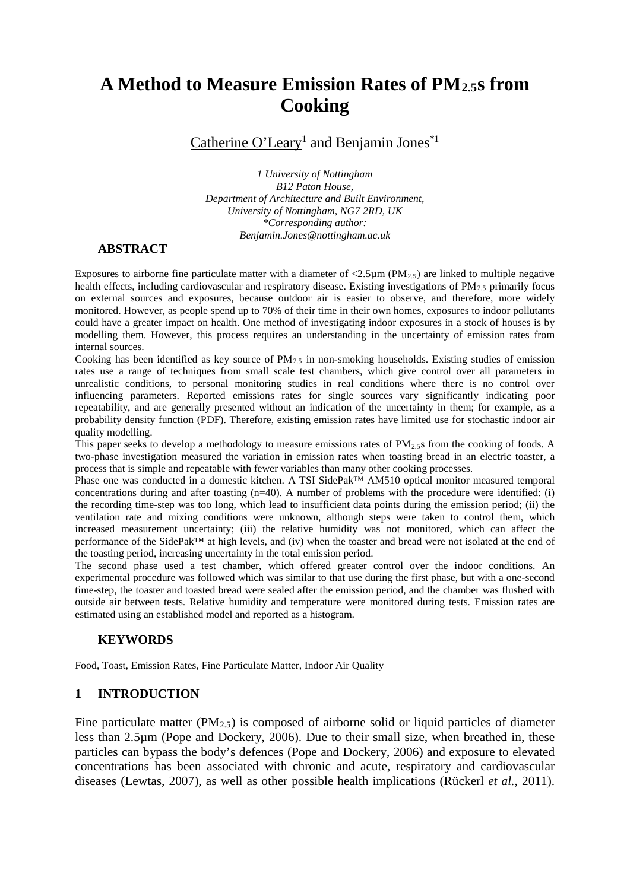# **A Method to Measure Emission Rates of PM2.5s from Cooking**

Catherine O'Leary<sup>1</sup> and Benjamin Jones<sup>\*1</sup>

*1 University of Nottingham B12 Paton House, Department of Architecture and Built Environment, University of Nottingham, NG7 2RD, UK \*Corresponding author: Benjamin.Jones@nottingham.ac.uk*

## **ABSTRACT**

Exposures to airborne fine particulate matter with a diameter of  $\langle 2.5\mu m (PM_{2.5})$  are linked to multiple negative health effects, including cardiovascular and respiratory disease. Existing investigations of PM<sub>2.5</sub> primarily focus on external sources and exposures, because outdoor air is easier to observe, and therefore, more widely monitored. However, as people spend up to 70% of their time in their own homes, exposures to indoor pollutants could have a greater impact on health. One method of investigating indoor exposures in a stock of houses is by modelling them. However, this process requires an understanding in the uncertainty of emission rates from internal sources.

Cooking has been identified as key source of  $PM_{2.5}$  in non-smoking households. Existing studies of emission rates use a range of techniques from small scale test chambers, which give control over all parameters in unrealistic conditions, to personal monitoring studies in real conditions where there is no control over influencing parameters. Reported emissions rates for single sources vary significantly indicating poor repeatability, and are generally presented without an indication of the uncertainty in them; for example, as a probability density function (PDF). Therefore, existing emission rates have limited use for stochastic indoor air quality modelling.

This paper seeks to develop a methodology to measure emissions rates of PM<sub>2.5</sub>s from the cooking of foods. A two-phase investigation measured the variation in emission rates when toasting bread in an electric toaster, a process that is simple and repeatable with fewer variables than many other cooking processes.

Phase one was conducted in a domestic kitchen. A TSI SidePak™ AM510 optical monitor measured temporal concentrations during and after toasting (n=40). A number of problems with the procedure were identified: (i) the recording time-step was too long, which lead to insufficient data points during the emission period; (ii) the ventilation rate and mixing conditions were unknown, although steps were taken to control them, which increased measurement uncertainty; (iii) the relative humidity was not monitored, which can affect the performance of the SidePak™ at high levels, and (iv) when the toaster and bread were not isolated at the end of the toasting period, increasing uncertainty in the total emission period.

The second phase used a test chamber, which offered greater control over the indoor conditions. An experimental procedure was followed which was similar to that use during the first phase, but with a one-second time-step, the toaster and toasted bread were sealed after the emission period, and the chamber was flushed with outside air between tests. Relative humidity and temperature were monitored during tests. Emission rates are estimated using an established model and reported as a histogram.

## **KEYWORDS**

Food, Toast, Emission Rates, Fine Particulate Matter, Indoor Air Quality

# **1 INTRODUCTION**

Fine particulate matter (PM<sub>2.5</sub>) is composed of airborne solid or liquid particles of diameter less than 2.5µm (Pope and Dockery, 2006). Due to their small size, when breathed in, these particles can bypass the body's defences (Pope and Dockery, 2006) and exposure to elevated concentrations has been associated with chronic and acute, respiratory and cardiovascular diseases (Lewtas, 2007), as well as other possible health implications (Rückerl *et al.*, 2011).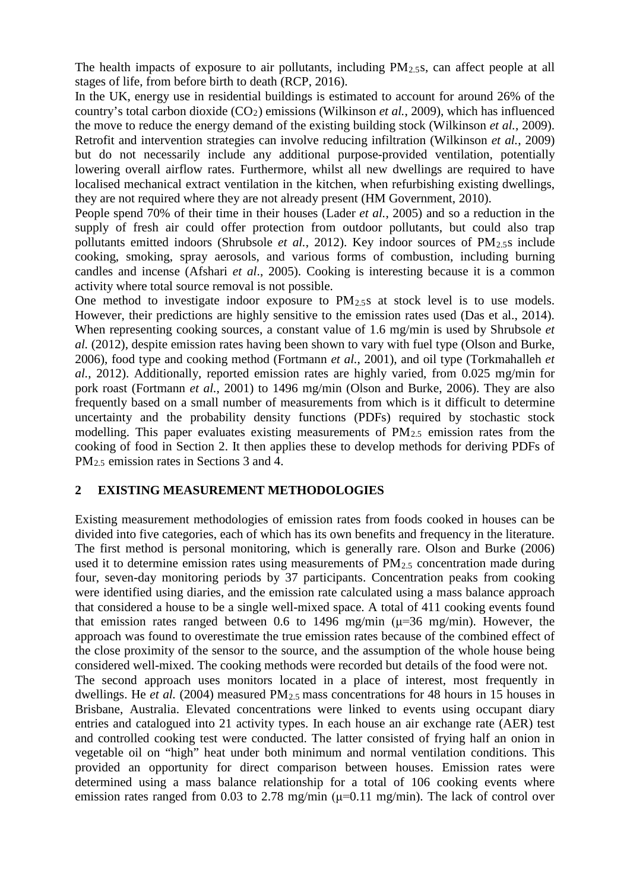The health impacts of exposure to air pollutants, including  $PM<sub>2.58</sub>$ , can affect people at all stages of life, from before birth to death (RCP, 2016).

In the UK, energy use in residential buildings is estimated to account for around 26% of the country's total carbon dioxide (CO2) emissions (Wilkinson *et al.*, 2009), which has influenced the move to reduce the energy demand of the existing building stock (Wilkinson *et al.*, 2009). Retrofit and intervention strategies can involve reducing infiltration (Wilkinson *et al.*, 2009) but do not necessarily include any additional purpose-provided ventilation, potentially lowering overall airflow rates. Furthermore, whilst all new dwellings are required to have localised mechanical extract ventilation in the kitchen, when refurbishing existing dwellings, they are not required where they are not already present (HM Government, 2010).

People spend 70% of their time in their houses (Lader *et al.*, 2005) and so a reduction in the supply of fresh air could offer protection from outdoor pollutants, but could also trap pollutants emitted indoors (Shrubsole *et al.*, 2012). Key indoor sources of PM<sub>2.5</sub>s include cooking, smoking, spray aerosols, and various forms of combustion, including burning candles and incense (Afshari *et al*., 2005). Cooking is interesting because it is a common activity where total source removal is not possible.

One method to investigate indoor exposure to  $PM<sub>2.5</sub>$  at stock level is to use models. However, their predictions are highly sensitive to the emission rates used (Das et al., 2014). When representing cooking sources, a constant value of 1.6 mg/min is used by Shrubsole *et al.* (2012), despite emission rates having been shown to vary with fuel type (Olson and Burke, 2006), food type and cooking method (Fortmann *et al.*, 2001), and oil type (Torkmahalleh *et al.*, 2012). Additionally, reported emission rates are highly varied, from 0.025 mg/min for pork roast (Fortmann *et al.*, 2001) to 1496 mg/min (Olson and Burke, 2006). They are also frequently based on a small number of measurements from which is it difficult to determine uncertainty and the probability density functions (PDFs) required by stochastic stock modelling. This paper evaluates existing measurements of  $PM_{2.5}$  emission rates from the cooking of food in Section 2. It then applies these to develop methods for deriving PDFs of PM2.5 emission rates in Sections 3 and 4.

# **2 EXISTING MEASUREMENT METHODOLOGIES**

Existing measurement methodologies of emission rates from foods cooked in houses can be divided into five categories, each of which has its own benefits and frequency in the literature. The first method is personal monitoring, which is generally rare. Olson and Burke (2006) used it to determine emission rates using measurements of  $PM_{2.5}$  concentration made during four, seven-day monitoring periods by 37 participants. Concentration peaks from cooking were identified using diaries, and the emission rate calculated using a mass balance approach that considered a house to be a single well-mixed space. A total of 411 cooking events found that emission rates ranged between 0.6 to 1496 mg/min  $(\mu=36 \text{ mg/min})$ . However, the approach was found to overestimate the true emission rates because of the combined effect of the close proximity of the sensor to the source, and the assumption of the whole house being considered well-mixed. The cooking methods were recorded but details of the food were not. The second approach uses monitors located in a place of interest, most frequently in dwellings. He *et al.* (2004) measured PM<sub>2.5</sub> mass concentrations for 48 hours in 15 houses in Brisbane, Australia. Elevated concentrations were linked to events using occupant diary entries and catalogued into 21 activity types. In each house an air exchange rate (AER) test and controlled cooking test were conducted. The latter consisted of frying half an onion in vegetable oil on "high" heat under both minimum and normal ventilation conditions. This provided an opportunity for direct comparison between houses. Emission rates were determined using a mass balance relationship for a total of 106 cooking events where emission rates ranged from 0.03 to 2.78 mg/min ( $\mu$ =0.11 mg/min). The lack of control over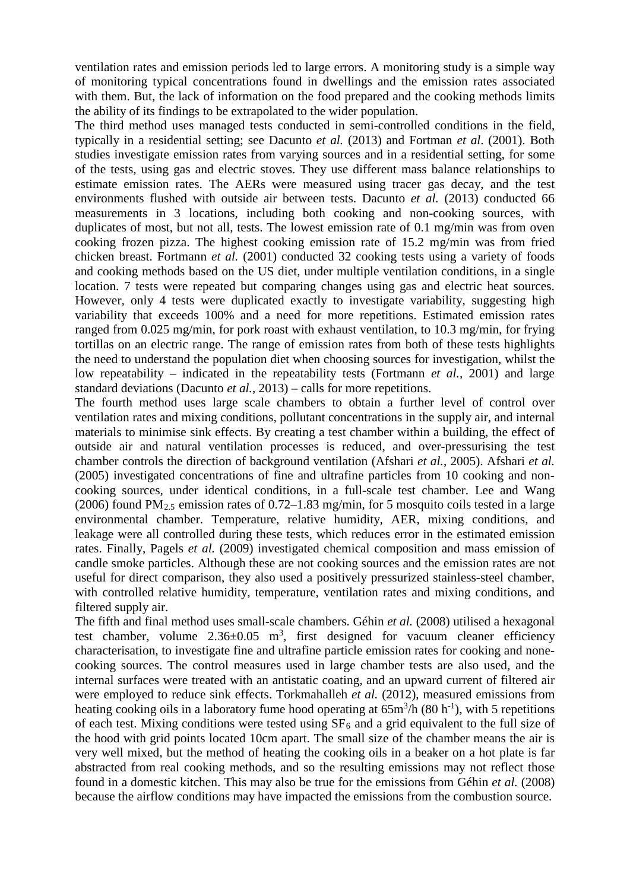ventilation rates and emission periods led to large errors. A monitoring study is a simple way of monitoring typical concentrations found in dwellings and the emission rates associated with them. But, the lack of information on the food prepared and the cooking methods limits the ability of its findings to be extrapolated to the wider population.

The third method uses managed tests conducted in semi-controlled conditions in the field, typically in a residential setting; see Dacunto *et al.* (2013) and Fortman *et al*. (2001). Both studies investigate emission rates from varying sources and in a residential setting, for some of the tests, using gas and electric stoves. They use different mass balance relationships to estimate emission rates. The AERs were measured using tracer gas decay, and the test environments flushed with outside air between tests. Dacunto *et al.* (2013) conducted 66 measurements in 3 locations, including both cooking and non-cooking sources, with duplicates of most, but not all, tests. The lowest emission rate of 0.1 mg/min was from oven cooking frozen pizza. The highest cooking emission rate of 15.2 mg/min was from fried chicken breast. Fortmann *et al.* (2001) conducted 32 cooking tests using a variety of foods and cooking methods based on the US diet, under multiple ventilation conditions, in a single location. 7 tests were repeated but comparing changes using gas and electric heat sources. However, only 4 tests were duplicated exactly to investigate variability, suggesting high variability that exceeds 100% and a need for more repetitions. Estimated emission rates ranged from 0.025 mg/min, for pork roast with exhaust ventilation, to 10.3 mg/min, for frying tortillas on an electric range. The range of emission rates from both of these tests highlights the need to understand the population diet when choosing sources for investigation, whilst the low repeatability – indicated in the repeatability tests (Fortmann *et al.*, 2001) and large standard deviations (Dacunto *et al.*, 2013) – calls for more repetitions.

The fourth method uses large scale chambers to obtain a further level of control over ventilation rates and mixing conditions, pollutant concentrations in the supply air, and internal materials to minimise sink effects. By creating a test chamber within a building, the effect of outside air and natural ventilation processes is reduced, and over-pressurising the test chamber controls the direction of background ventilation (Afshari *et al.*, 2005). Afshari *et al.* (2005) investigated concentrations of fine and ultrafine particles from 10 cooking and noncooking sources, under identical conditions, in a full-scale test chamber. Lee and Wang (2006) found  $PM_{2.5}$  emission rates of 0.72–1.83 mg/min, for 5 mosquito coils tested in a large environmental chamber. Temperature, relative humidity, AER, mixing conditions, and leakage were all controlled during these tests, which reduces error in the estimated emission rates. Finally, Pagels *et al.* (2009) investigated chemical composition and mass emission of candle smoke particles. Although these are not cooking sources and the emission rates are not useful for direct comparison, they also used a positively pressurized stainless-steel chamber, with controlled relative humidity, temperature, ventilation rates and mixing conditions, and filtered supply air.

The fifth and final method uses small-scale chambers. Géhin *et al.* (2008) utilised a hexagonal test chamber, volume  $2.36 \pm 0.05$  m<sup>3</sup>, first designed for vacuum cleaner efficiency characterisation, to investigate fine and ultrafine particle emission rates for cooking and nonecooking sources. The control measures used in large chamber tests are also used, and the internal surfaces were treated with an antistatic coating, and an upward current of filtered air were employed to reduce sink effects. Torkmahalleh *et al.* (2012), measured emissions from heating cooking oils in a laboratory fume hood operating at  $65m<sup>3</sup>/h$  (80 h<sup>-1</sup>), with 5 repetitions of each test. Mixing conditions were tested using  $SF_6$  and a grid equivalent to the full size of the hood with grid points located 10cm apart. The small size of the chamber means the air is very well mixed, but the method of heating the cooking oils in a beaker on a hot plate is far abstracted from real cooking methods, and so the resulting emissions may not reflect those found in a domestic kitchen. This may also be true for the emissions from Géhin *et al.* (2008) because the airflow conditions may have impacted the emissions from the combustion source.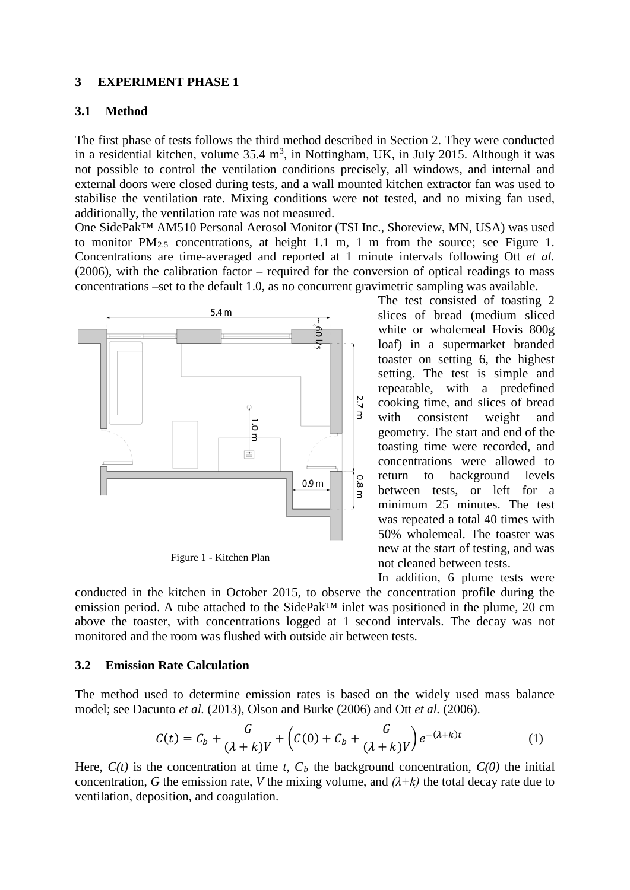## **3 EXPERIMENT PHASE 1**

## **3.1 Method**

The first phase of tests follows the third method described in Section 2. They were conducted in a residential kitchen, volume  $35.4 \text{ m}^3$ , in Nottingham, UK, in July 2015. Although it was not possible to control the ventilation conditions precisely, all windows, and internal and external doors were closed during tests, and a wall mounted kitchen extractor fan was used to stabilise the ventilation rate. Mixing conditions were not tested, and no mixing fan used, additionally, the ventilation rate was not measured.

One SidePak™ AM510 Personal Aerosol Monitor (TSI Inc., Shoreview, MN, USA) was used to monitor  $PM_{2.5}$  concentrations, at height 1.1 m, 1 m from the source; see [Figure 1.](#page-3-0) Concentrations are time-averaged and reported at 1 minute intervals following Ott *et al.*  (2006), with the calibration factor – required for the conversion of optical readings to mass concentrations –set to the default 1.0, as no concurrent gravimetric sampling was available.



Figure 1 - Kitchen Plan

The test consisted of toasting 2 slices of bread (medium sliced white or wholemeal Hovis 800g loaf) in a supermarket branded toaster on setting 6, the highest setting. The test is simple and repeatable, with a predefined cooking time, and slices of bread with consistent weight and geometry. The start and end of the toasting time were recorded, and concentrations were allowed to return to background levels between tests, or left for a minimum 25 minutes. The test was repeated a total 40 times with 50% wholemeal. The toaster was new at the start of testing, and was not cleaned between tests.

<span id="page-3-1"></span>In addition, 6 plume tests were

<span id="page-3-0"></span>conducted in the kitchen in October 2015, to observe the concentration profile during the emission period. A tube attached to the SidePak™ inlet was positioned in the plume, 20 cm above the toaster, with concentrations logged at 1 second intervals. The decay was not monitored and the room was flushed with outside air between tests.

## <span id="page-3-2"></span>**3.2 Emission Rate Calculation**

The method used to determine emission rates is based on the widely used mass balance model; see Dacunto *et al.* (2013), Olson and Burke (2006) and Ott *et al.* (2006).

$$
C(t) = C_b + \frac{G}{(\lambda + k)V} + \left(C(0) + C_b + \frac{G}{(\lambda + k)V}\right)e^{-(\lambda + k)t}
$$
 (1)

Here,  $C(t)$  is the concentration at time *t*,  $C<sub>b</sub>$  the background concentration,  $C(0)$  the initial concentration, *G* the emission rate, *V* the mixing volume, and  $(\lambda + k)$  the total decay rate due to ventilation, deposition, and coagulation.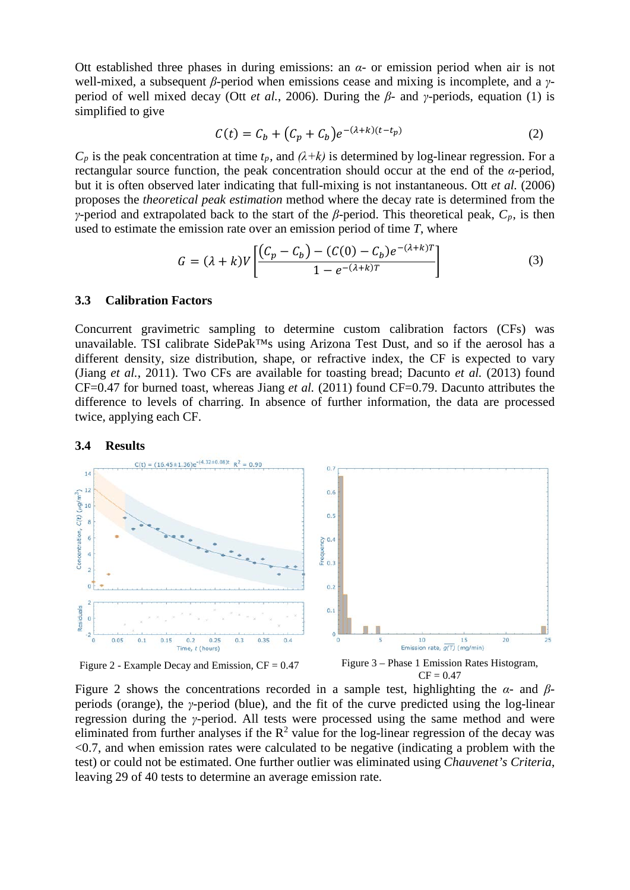Ott established three phases in during emissions: an *α*- or emission period when air is not well-mixed, a subsequent *β*-period when emissions cease and mixing is incomplete, and a *γ*period of well mixed decay (Ott *et al.*, 2006). During the *β*- and *γ*-periods, equation [\(1\)](#page-3-1) is simplified to give

$$
C(t) = C_b + (C_p + C_b)e^{-(\lambda + k)(t - t_p)}
$$
\n
$$
(2)
$$

 $C_p$  is the peak concentration at time  $t_p$ , and  $(\lambda + k)$  is determined by log-linear regression. For a rectangular source function, the peak concentration should occur at the end of the *α*-period, but it is often observed later indicating that full-mixing is not instantaneous. Ott *et al.* (2006) proposes the *theoretical peak estimation* method where the decay rate is determined from the *γ*-period and extrapolated back to the start of the *β*-period. This theoretical peak,  $C_p$ , is then used to estimate the emission rate over an emission period of time *T*, where

$$
G = (\lambda + k)V \left[ \frac{(C_p - C_b) - (C(0) - C_b)e^{-(\lambda + k)T}}{1 - e^{-(\lambda + k)T}} \right]
$$
(3)

#### <span id="page-4-2"></span>**3.3 Calibration Factors**

Concurrent gravimetric sampling to determine custom calibration factors (CFs) was unavailable. TSI calibrate SidePak™s using Arizona Test Dust, and so if the aerosol has a different density, size distribution, shape, or refractive index, the CF is expected to vary (Jiang *et al.*, 2011). Two CFs are available for toasting bread; Dacunto *et al.* (2013) found CF=0.47 for burned toast, whereas Jiang *et al.* (2011) found CF=0.79. Dacunto attributes the difference to levels of charring. In absence of further information, the data are processed twice, applying each CF.

#### **3.4 Results**



<span id="page-4-1"></span><span id="page-4-0"></span>Figure 2 - Example Decay and Emission,  $CF = 0.47$  Figure 3 – Phase 1 Emission Rates Histogram,  $CF = 0.47$ 

[Figure 2](#page-4-0) shows the concentrations recorded in a sample test, highlighting the *α*- and *β*periods (orange), the *γ*-period (blue), and the fit of the curve predicted using the log-linear regression during the *γ*-period. All tests were processed using the same method and were eliminated from further analyses if the  $R^2$  value for the log-linear regression of the decay was  $\leq 0.7$ , and when emission rates were calculated to be negative (indicating a problem with the test) or could not be estimated. One further outlier was eliminated using *Chauvenet's Criteria*, leaving 29 of 40 tests to determine an average emission rate.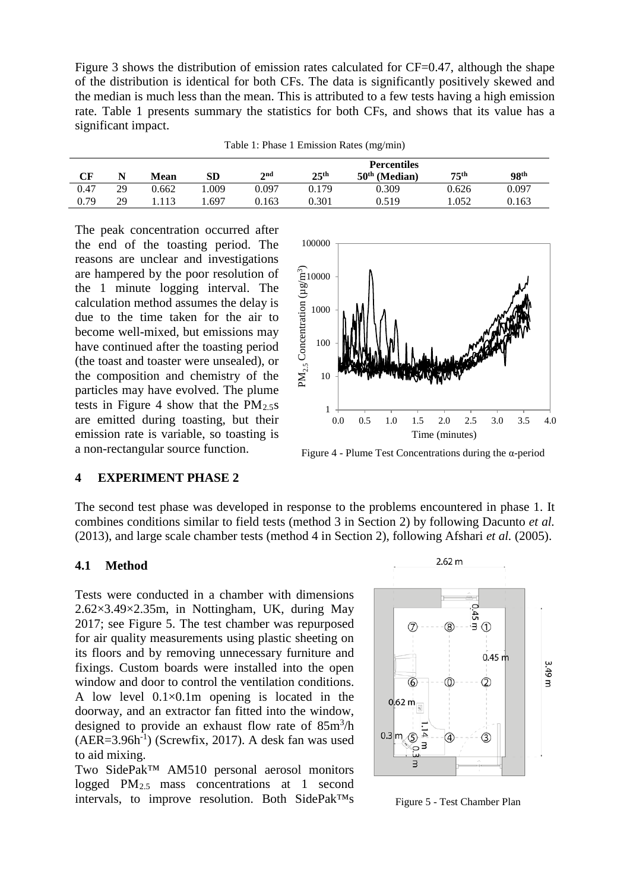[Figure 3](#page-4-1) shows the distribution of emission rates calculated for CF=0.47, although the shape of the distribution is identical for both CFs. The data is significantly positively skewed and the median is much less than the mean. This is attributed to a few tests having a high emission rate. [Table 1](#page-5-0) presents summary the statistics for both CFs, and shows that its value has a significant impact.

| Table 1: Phase 1 Emission Rates (mg/min) |  |  |  |  |
|------------------------------------------|--|--|--|--|
|------------------------------------------|--|--|--|--|

<span id="page-5-0"></span>

|      |    |             |            |       | <b>Percentiles</b> |                 |                  |                  |  |
|------|----|-------------|------------|-------|--------------------|-----------------|------------------|------------------|--|
| CF   |    | <b>Mean</b> | ${\bf SD}$ | 2nd   | 25 <sup>th</sup>   | $50th$ (Median) | 75 <sup>th</sup> | 98 <sup>th</sup> |  |
| 0.47 | 29 | 0.662       | .009       | 0.097 | 0.179              | 0.309           | 0.626            | 0.097            |  |
| 0.79 | 29 |             | 697        | 0.163 | 0.301              | 0.519           | 1.052            | 0.163            |  |

The peak concentration occurred after the end of the toasting period. The reasons are unclear and investigations are hampered by the poor resolution of the 1 minute logging interval. The calculation method assumes the delay is due to the time taken for the air to become well-mixed, but emissions may have continued after the toasting period (the toast and toaster were unsealed), or the composition and chemistry of the particles may have evolved. The plume tests in [Figure 4](#page-5-1) show that the  $PM_{2.5}$ s are emitted during toasting, but their emission rate is variable, so toasting is a non-rectangular source function.



<span id="page-5-1"></span>Figure 4 - Plume Test Concentrations during the α-period

## **4 EXPERIMENT PHASE 2**

The second test phase was developed in response to the problems encountered in phase 1. It combines conditions similar to field tests (method 3 in Section 2) by following Dacunto *et al.* (2013), and large scale chamber tests (method 4 in Section 2), following Afshari *et al.* (2005).

## **4.1 Method**

Tests were conducted in a chamber with dimensions 2.62×3.49×2.35m, in Nottingham, UK, during May 2017; see [Figure 5.](#page-5-2) The test chamber was repurposed for air quality measurements using plastic sheeting on its floors and by removing unnecessary furniture and fixings. Custom boards were installed into the open window and door to control the ventilation conditions. A low level  $0.1 \times 0.1$  m opening is located in the doorway, and an extractor fan fitted into the window, designed to provide an exhaust flow rate of 85m<sup>3</sup>/h  $(AER=3.96h^{-1})$  (Screwfix, 2017). A desk fan was used to aid mixing.

Two SidePak™ AM510 personal aerosol monitors logged PM2.5 mass concentrations at 1 second intervals, to improve resolution. Both SidePak<sup>TM</sup>s Figure 5 - Test Chamber Plan



<span id="page-5-2"></span>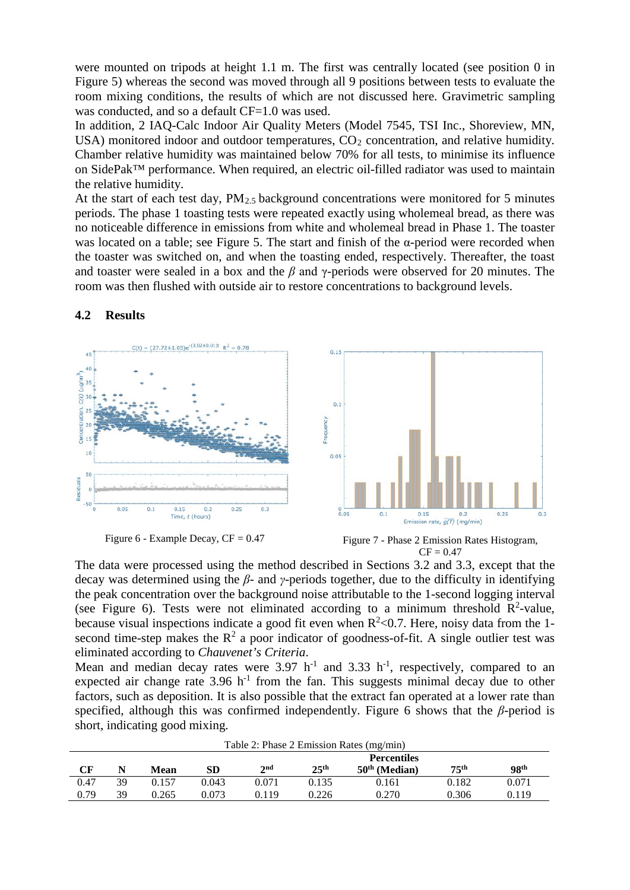were mounted on tripods at height 1.1 m. The first was centrally located (see position 0 in [Figure 5\)](#page-5-2) whereas the second was moved through all 9 positions between tests to evaluate the room mixing conditions, the results of which are not discussed here. Gravimetric sampling was conducted, and so a default CF=1.0 was used.

In addition, 2 IAQ-Calc Indoor Air Quality Meters (Model 7545, TSI Inc., Shoreview, MN, USA) monitored indoor and outdoor temperatures,  $CO<sub>2</sub>$  concentration, and relative humidity. Chamber relative humidity was maintained below 70% for all tests, to minimise its influence on SidePak™ performance. When required, an electric oil-filled radiator was used to maintain the relative humidity.

At the start of each test day,  $PM_{2.5}$  background concentrations were monitored for 5 minutes periods. The phase 1 toasting tests were repeated exactly using wholemeal bread, as there was no noticeable difference in emissions from white and wholemeal bread in Phase 1. The toaster was located on a table; see [Figure 5.](#page-5-2) The start and finish of the  $\alpha$ -period were recorded when the toaster was switched on, and when the toasting ended, respectively. Thereafter, the toast and toaster were sealed in a box and the *β* and γ-periods were observed for 20 minutes. The room was then flushed with outside air to restore concentrations to background levels.

## **4.2 Results**



<span id="page-6-1"></span>

Figure 6 - Example Decay,  $CF = 0.47$  Figure 7 - Phase 2 Emission Rates Histogram,  $CF = 0.47$ 

<span id="page-6-0"></span>The data were processed using the method described in Sections [3.2](#page-3-2) and [3.3,](#page-4-2) except that the decay was determined using the *β*- and *γ*-periods together, due to the difficulty in identifying the peak concentration over the background noise attributable to the 1-second logging interval (see [Figure 6\)](#page-6-0). Tests were not eliminated according to a minimum threshold  $\mathbb{R}^2$ -value, because visual inspections indicate a good fit even when  $R^2$  < 0.7. Here, noisy data from the 1second time-step makes the  $R^2$  a poor indicator of goodness-of-fit. A single outlier test was eliminated according to *Chauvenet's Criteria*.

Mean and median decay rates were  $3.97 \text{ h}^{-1}$  and  $3.33 \text{ h}^{-1}$ , respectively, compared to an expected air change rate  $3.96$  h<sup>-1</sup> from the fan. This suggests minimal decay due to other factors, such as deposition. It is also possible that the extract fan operated at a lower rate than specified, although this was confirmed independently. [Figure 6](#page-6-0) shows that the  $\beta$ -period is short, indicating good mixing.

<span id="page-6-2"></span>

| Table 2: Phase 2 Emission Rates (mg/min) |    |       |       |                    |                  |                 |                  |                  |  |
|------------------------------------------|----|-------|-------|--------------------|------------------|-----------------|------------------|------------------|--|
|                                          |    |       |       | <b>Percentiles</b> |                  |                 |                  |                  |  |
| CF                                       | N  | Mean  | SD    | 2 <sub>nd</sub>    | 25 <sup>th</sup> | $50th$ (Median) | 75 <sup>th</sup> | 98 <sup>th</sup> |  |
| 0.47                                     | 39 | 0.157 | 0.043 | 0.071              | 0.135            | 0.161           | 0.182            | 0.071            |  |
| 0.79                                     | 39 | 0.265 | 0.073 | 0.119              | 0.226            | 0.270           | 0.306            | 0.119            |  |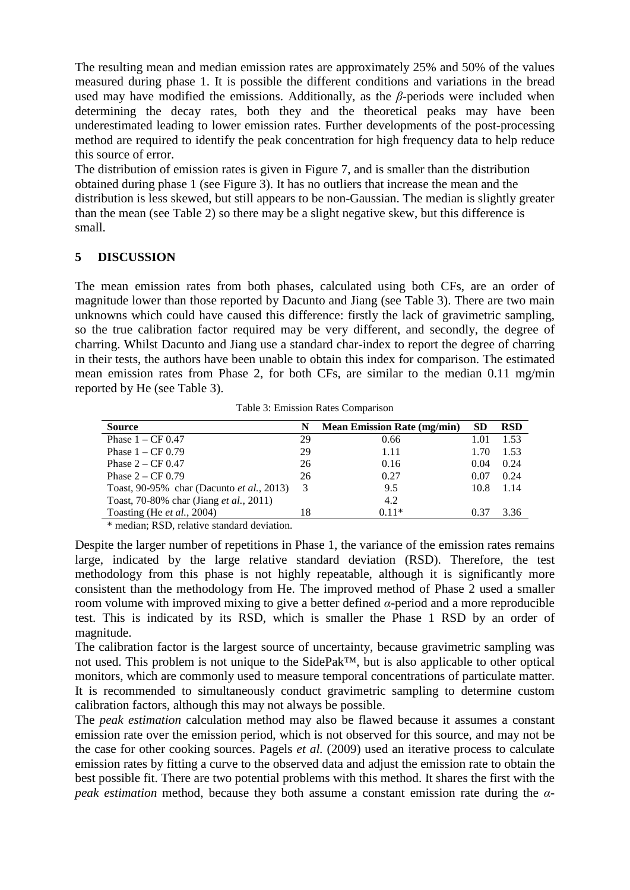The resulting mean and median emission rates are approximately 25% and 50% of the values measured during phase 1. It is possible the different conditions and variations in the bread used may have modified the emissions. Additionally, as the *β*-periods were included when determining the decay rates, both they and the theoretical peaks may have been underestimated leading to lower emission rates. Further developments of the post-processing method are required to identify the peak concentration for high frequency data to help reduce this source of error.

The distribution of emission rates is given in [Figure 7,](#page-6-1) and is smaller than the distribution obtained during phase 1 (see Figure 3). It has no outliers that increase the mean and the distribution is less skewed, but still appears to be non-Gaussian. The median is slightly greater than the mean (see [Table 2\)](#page-6-2) so there may be a slight negative skew, but this difference is small.

# **5 DISCUSSION**

The mean emission rates from both phases, calculated using both CFs, are an order of magnitude lower than those reported by Dacunto and Jiang (see [Table 3\)](#page-7-0). There are two main unknowns which could have caused this difference: firstly the lack of gravimetric sampling, so the true calibration factor required may be very different, and secondly, the degree of charring. Whilst Dacunto and Jiang use a standard char-index to report the degree of charring in their tests, the authors have been unable to obtain this index for comparison. The estimated mean emission rates from Phase 2, for both CFs, are similar to the median 0.11 mg/min reported by He (see [Table 3\)](#page-7-0).

<span id="page-7-0"></span>

|    | <b>Mean Emission Rate (mg/min)</b> | <b>SD</b> | <b>RSD</b> |
|----|------------------------------------|-----------|------------|
| 29 | 0.66                               | 1.01      | 1.53       |
| 29 | 1.11                               | 1.70      | 1.53       |
| 26 | 0.16                               | 0.04      | 0.24       |
| 26 | 0.27                               | 0.07      | 0.24       |
| 3  | 9.5                                | 10.8      | 1.14       |
|    | 4.2                                |           |            |
| 18 | $0.11*$                            | 0.37      | 3.36       |
|    |                                    |           |            |

Table 3: Emission Rates Comparison

\* median; RSD, relative standard deviation.

Despite the larger number of repetitions in Phase 1, the variance of the emission rates remains large, indicated by the large relative standard deviation (RSD). Therefore, the test methodology from this phase is not highly repeatable, although it is significantly more consistent than the methodology from He. The improved method of Phase 2 used a smaller room volume with improved mixing to give a better defined *α*-period and a more reproducible test. This is indicated by its RSD, which is smaller the Phase 1 RSD by an order of magnitude.

The calibration factor is the largest source of uncertainty, because gravimetric sampling was not used. This problem is not unique to the SidePak™, but is also applicable to other optical monitors, which are commonly used to measure temporal concentrations of particulate matter. It is recommended to simultaneously conduct gravimetric sampling to determine custom calibration factors, although this may not always be possible.

The *peak estimation* calculation method may also be flawed because it assumes a constant emission rate over the emission period, which is not observed for this source, and may not be the case for other cooking sources. Pagels *et al.* (2009) used an iterative process to calculate emission rates by fitting a curve to the observed data and adjust the emission rate to obtain the best possible fit. There are two potential problems with this method. It shares the first with the *peak estimation* method, because they both assume a constant emission rate during the *α*-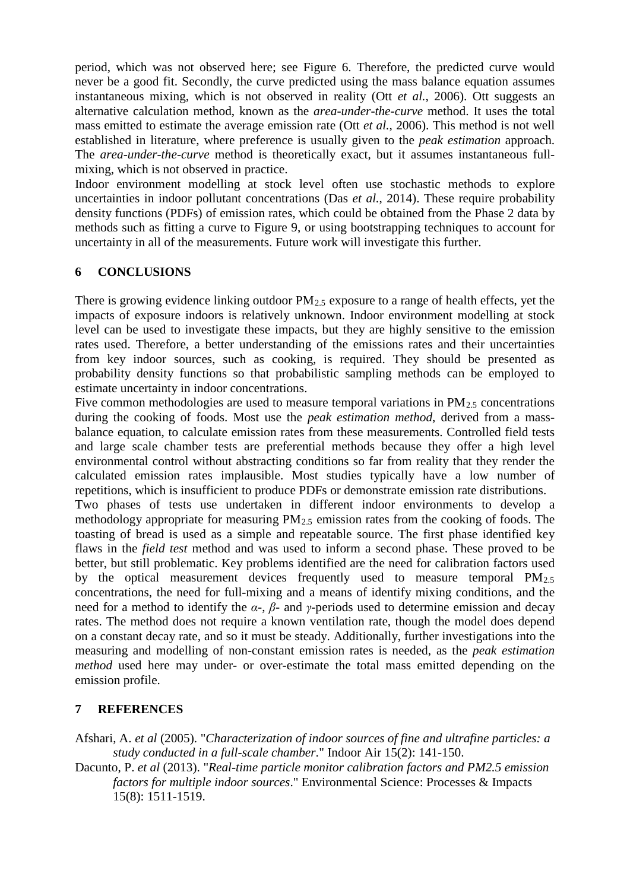period, which was not observed here; see [Figure 6.](#page-6-0) Therefore, the predicted curve would never be a good fit. Secondly, the curve predicted using the mass balance equation assumes instantaneous mixing, which is not observed in reality (Ott *et al.*, 2006). Ott suggests an alternative calculation method, known as the *area-under-the-curve* method. It uses the total mass emitted to estimate the average emission rate (Ott *et al.*, 2006). This method is not well established in literature, where preference is usually given to the *peak estimation* approach. The *area-under-the-curve* method is theoretically exact, but it assumes instantaneous fullmixing, which is not observed in practice.

Indoor environment modelling at stock level often use stochastic methods to explore uncertainties in indoor pollutant concentrations (Das *et al.*, 2014). These require probability density functions (PDFs) of emission rates, which could be obtained from the Phase 2 data by methods such as fitting a curve to Figure 9, or using bootstrapping techniques to account for uncertainty in all of the measurements. Future work will investigate this further.

# **6 CONCLUSIONS**

There is growing evidence linking outdoor  $PM_{2.5}$  exposure to a range of health effects, yet the impacts of exposure indoors is relatively unknown. Indoor environment modelling at stock level can be used to investigate these impacts, but they are highly sensitive to the emission rates used. Therefore, a better understanding of the emissions rates and their uncertainties from key indoor sources, such as cooking, is required. They should be presented as probability density functions so that probabilistic sampling methods can be employed to estimate uncertainty in indoor concentrations.

Five common methodologies are used to measure temporal variations in  $PM_2$ , concentrations during the cooking of foods. Most use the *peak estimation method*, derived from a massbalance equation, to calculate emission rates from these measurements. Controlled field tests and large scale chamber tests are preferential methods because they offer a high level environmental control without abstracting conditions so far from reality that they render the calculated emission rates implausible. Most studies typically have a low number of repetitions, which is insufficient to produce PDFs or demonstrate emission rate distributions.

Two phases of tests use undertaken in different indoor environments to develop a methodology appropriate for measuring  $PM_{2.5}$  emission rates from the cooking of foods. The toasting of bread is used as a simple and repeatable source. The first phase identified key flaws in the *field test* method and was used to inform a second phase. These proved to be better, but still problematic. Key problems identified are the need for calibration factors used by the optical measurement devices frequently used to measure temporal  $PM_{2.5}$ concentrations, the need for full-mixing and a means of identify mixing conditions, and the need for a method to identify the *α*-, *β*- and *γ-*periods used to determine emission and decay rates. The method does not require a known ventilation rate, though the model does depend on a constant decay rate, and so it must be steady. Additionally, further investigations into the measuring and modelling of non-constant emission rates is needed, as the *peak estimation method* used here may under- or over-estimate the total mass emitted depending on the emission profile.

# **7 REFERENCES**

Afshari, A. *et al* (2005). "*Characterization of indoor sources of fine and ultrafine particles: a study conducted in a full-scale chamber*." Indoor Air 15(2): 141-150.

Dacunto, P. *et al* (2013). "*Real-time particle monitor calibration factors and PM2.5 emission factors for multiple indoor sources*." Environmental Science: Processes & Impacts 15(8): 1511-1519.